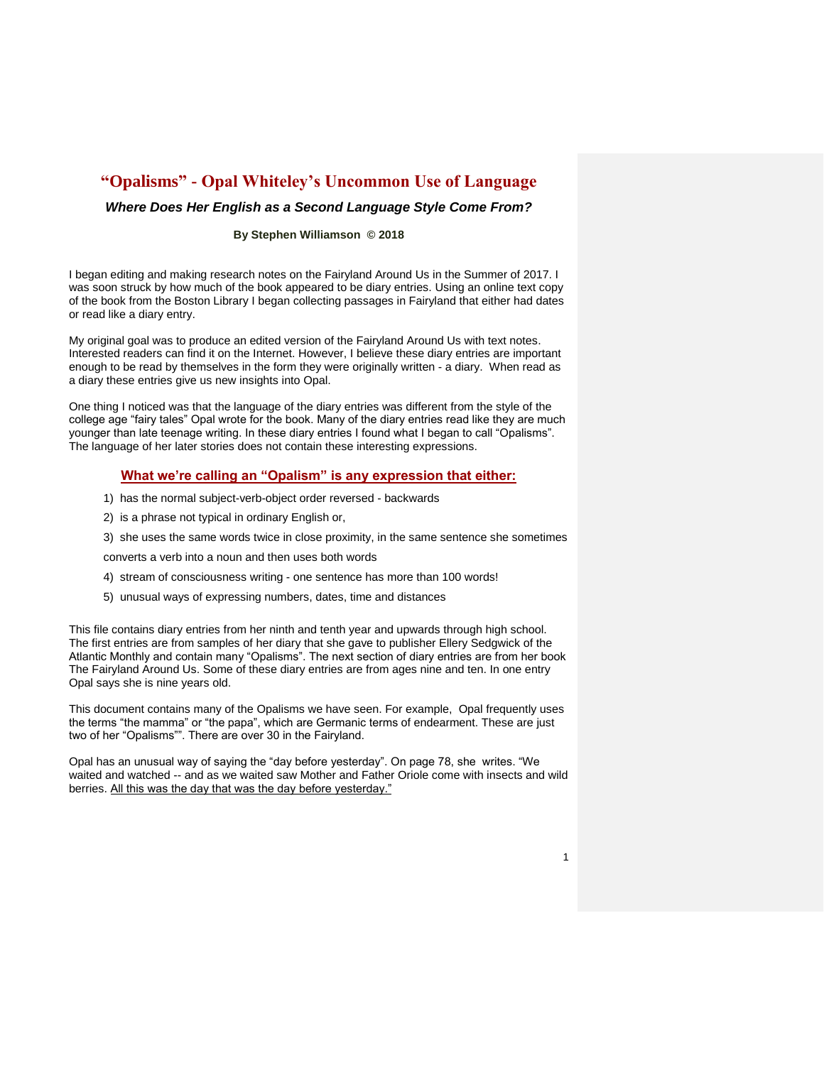# **"Opalisms" - Opal Whiteley's Uncommon Use of Language**

### *Where Does Her English as a Second Language Style Come From?*

#### **By Stephen Williamson © 2018**

I began editing and making research notes on the Fairyland Around Us in the Summer of 2017. I was soon struck by how much of the book appeared to be diary entries. Using an online text copy of the book from the Boston Library I began collecting passages in Fairyland that either had dates or read like a diary entry.

My original goal was to produce an edited version of the Fairyland Around Us with text notes. Interested readers can find it on the Internet. However, I believe these diary entries are important enough to be read by themselves in the form they were originally written - a diary. When read as a diary these entries give us new insights into Opal.

One thing I noticed was that the language of the diary entries was different from the style of the college age "fairy tales" Opal wrote for the book. Many of the diary entries read like they are much younger than late teenage writing. In these diary entries I found what I began to call "Opalisms". The language of her later stories does not contain these interesting expressions.

#### **What we're calling an "Opalism" is any expression that either:**

- 1) has the normal subject-verb-object order reversed backwards
- 2) is a phrase not typical in ordinary English or,
- 3) she uses the same words twice in close proximity, in the same sentence she sometimes

converts a verb into a noun and then uses both words

- 4) stream of consciousness writing one sentence has more than 100 words!
- 5) unusual ways of expressing numbers, dates, time and distances

This file contains diary entries from her ninth and tenth year and upwards through high school. The first entries are from samples of her diary that she gave to publisher Ellery Sedgwick of the Atlantic Monthly and contain many "Opalisms". The next section of diary entries are from her book The Fairyland Around Us. Some of these diary entries are from ages nine and ten. In one entry Opal says she is nine years old.

This document contains many of the Opalisms we have seen. For example, Opal frequently uses the terms "the mamma" or "the papa", which are Germanic terms of endearment. These are just two of her "Opalisms"". There are over 30 in the Fairyland.

Opal has an unusual way of saying the "day before yesterday". On page 78, she writes. "We waited and watched -- and as we waited saw Mother and Father Oriole come with insects and wild berries. All this was the day that was the day before yesterday."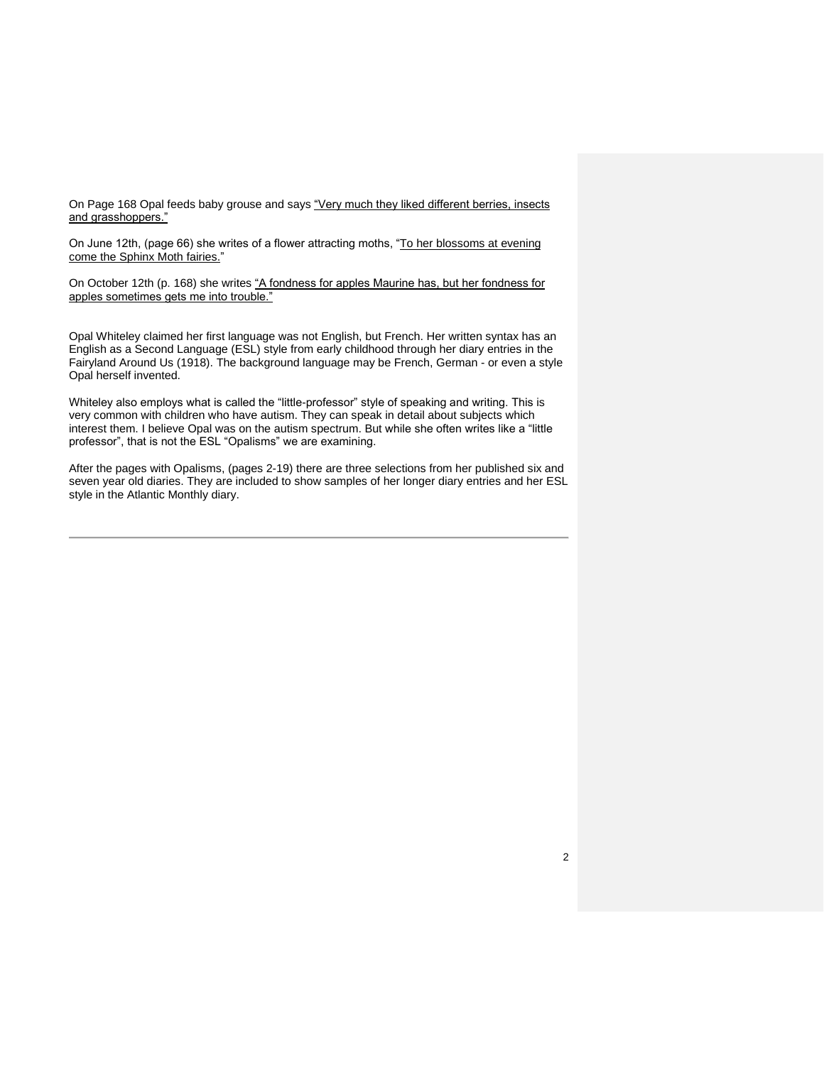On Page 168 Opal feeds baby grouse and says "Very much they liked different berries, insects and grasshoppers."

On June 12th, (page 66) she writes of a flower attracting moths, "To her blossoms at evening come the Sphinx Moth fairies."

On October 12th (p. 168) she writes "A fondness for apples Maurine has, but her fondness for apples sometimes gets me into trouble."

Opal Whiteley claimed her first language was not English, but French. Her written syntax has an English as a Second Language (ESL) style from early childhood through her diary entries in the Fairyland Around Us (1918). The background language may be French, German - or even a style Opal herself invented.

Whiteley also employs what is called the "little-professor" style of speaking and writing. This is very common with children who have autism. They can speak in detail about subjects which interest them. I believe Opal was on the autism spectrum. But while she often writes like a "little professor", that is not the ESL "Opalisms" we are examining.

After the pages with Opalisms, (pages 2-19) there are three selections from her published six and seven year old diaries. They are included to show samples of her longer diary entries and her ESL style in the Atlantic Monthly diary.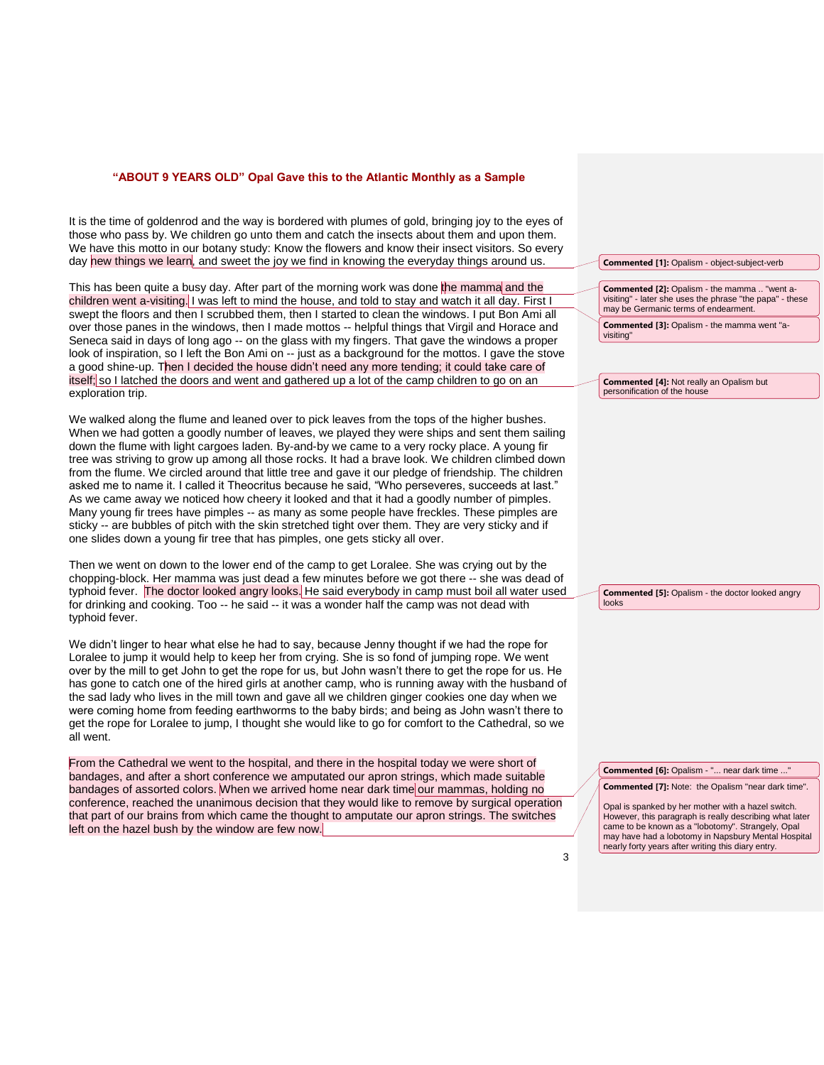#### **"ABOUT 9 YEARS OLD" Opal Gave this to the Atlantic Monthly as a Sample**

It is the time of goldenrod and the way is bordered with plumes of gold, bringing joy to the eyes of those who pass by. We children go unto them and catch the insects about them and upon them. We have this motto in our botany study: Know the flowers and know their insect visitors. So every day new things we learn, and sweet the joy we find in knowing the everyday things around us.

This has been quite a busy day. After part of the morning work was done the mamma and the children went a-visiting. I was left to mind the house, and told to stay and watch it all day. First I swept the floors and then I scrubbed them, then I started to clean the windows. I put Bon Ami all over those panes in the windows, then I made mottos -- helpful things that Virgil and Horace and Seneca said in days of long ago -- on the glass with my fingers. That gave the windows a proper look of inspiration, so I left the Bon Ami on -- just as a background for the mottos. I gave the stove a good shine-up. Then I decided the house didn't need any more tending; it could take care of itself; so I latched the doors and went and gathered up a lot of the camp children to go on an exploration trip.

We walked along the flume and leaned over to pick leaves from the tops of the higher bushes. When we had gotten a goodly number of leaves, we played they were ships and sent them sailing down the flume with light cargoes laden. By-and-by we came to a very rocky place. A young fir tree was striving to grow up among all those rocks. It had a brave look. We children climbed down from the flume. We circled around that little tree and gave it our pledge of friendship. The children asked me to name it. I called it Theocritus because he said, "Who perseveres, succeeds at last." As we came away we noticed how cheery it looked and that it had a goodly number of pimples. Many young fir trees have pimples -- as many as some people have freckles. These pimples are sticky -- are bubbles of pitch with the skin stretched tight over them. They are very sticky and if one slides down a young fir tree that has pimples, one gets sticky all over.

Then we went on down to the lower end of the camp to get Loralee. She was crying out by the chopping-block. Her mamma was just dead a few minutes before we got there -- she was dead of typhoid fever. The doctor looked angry looks. He said everybody in camp must boil all water used for drinking and cooking. Too -- he said -- it was a wonder half the camp was not dead with typhoid fever.

We didn't linger to hear what else he had to say, because Jenny thought if we had the rope for Loralee to jump it would help to keep her from crying. She is so fond of jumping rope. We went over by the mill to get John to get the rope for us, but John wasn't there to get the rope for us. He has gone to catch one of the hired girls at another camp, who is running away with the husband of the sad lady who lives in the mill town and gave all we children ginger cookies one day when we were coming home from feeding earthworms to the baby birds; and being as John wasn't there to get the rope for Loralee to jump, I thought she would like to go for comfort to the Cathedral, so we all went.

From the Cathedral we went to the hospital, and there in the hospital today we were short of bandages, and after a short conference we amputated our apron strings, which made suitable bandages of assorted colors. When we arrived home near dark time our mammas, holding no conference, reached the unanimous decision that they would like to remove by surgical operation that part of our brains from which came the thought to amputate our apron strings. The switches left on the hazel bush by the window are few now.

**Commented [1]:** Opalism - object-subject-verb

**Commented [2]:** Opalism - the mamma .. "went avisiting" - later she uses the phrase "the papa" - these may be Germanic terms of endearment.

**Commented [3]:** Opalism - the mamma went "avisiting"

**Commented [4]:** Not really an Opalism but personification of the house

**Commented [5]:** Opalism - the doctor looked angry looks

**Commented [6]:** Opalism - "... near dark time ..."

**Commented [7]:** Note: the Opalism "near dark time".

Opal is spanked by her mother with a hazel switch. However, this paragraph is really describing what later came to be known as a "lobotomy". Strangely, Opal may have had a lobotomy in Napsbury Mental Hospital nearly forty years after writing this diary entry.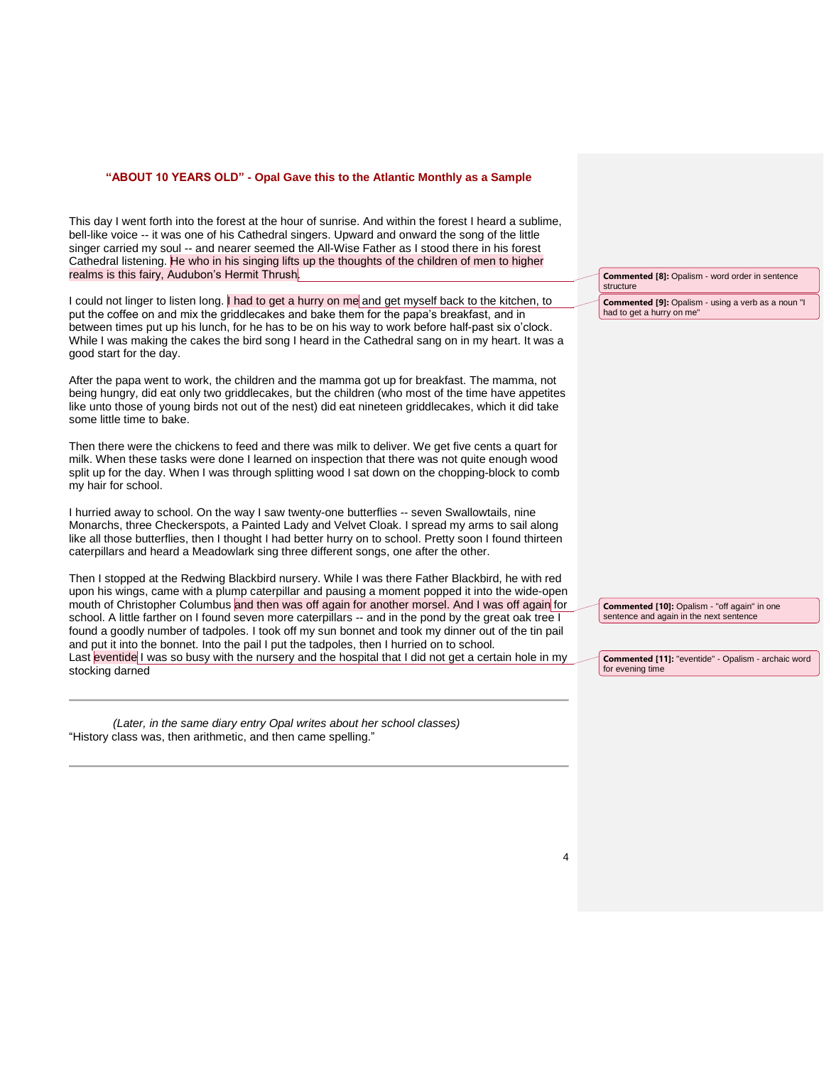#### **"ABOUT 10 YEARS OLD" - Opal Gave this to the Atlantic Monthly as a Sample**

This day I went forth into the forest at the hour of sunrise. And within the forest I heard a sublime, bell-like voice -- it was one of his Cathedral singers. Upward and onward the song of the little singer carried my soul -- and nearer seemed the All-Wise Father as I stood there in his forest Cathedral listening. He who in his singing lifts up the thoughts of the children of men to higher realms is this fairy, Audubon's Hermit Thrush.

I could not linger to listen long. I had to get a hurry on me and get myself back to the kitchen, to put the coffee on and mix the griddlecakes and bake them for the papa's breakfast, and in between times put up his lunch, for he has to be on his way to work before half-past six o'clock. While I was making the cakes the bird song I heard in the Cathedral sang on in my heart. It was a good start for the day.

After the papa went to work, the children and the mamma got up for breakfast. The mamma, not being hungry, did eat only two griddlecakes, but the children (who most of the time have appetites like unto those of young birds not out of the nest) did eat nineteen griddlecakes, which it did take some little time to bake.

Then there were the chickens to feed and there was milk to deliver. We get five cents a quart for milk. When these tasks were done I learned on inspection that there was not quite enough wood split up for the day. When I was through splitting wood I sat down on the chopping-block to comb my hair for school.

I hurried away to school. On the way I saw twenty-one butterflies -- seven Swallowtails, nine Monarchs, three Checkerspots, a Painted Lady and Velvet Cloak. I spread my arms to sail along like all those butterflies, then I thought I had better hurry on to school. Pretty soon I found thirteen caterpillars and heard a Meadowlark sing three different songs, one after the other.

Then I stopped at the Redwing Blackbird nursery. While I was there Father Blackbird, he with red upon his wings, came with a plump caterpillar and pausing a moment popped it into the wide-open mouth of Christopher Columbus and then was off again for another morsel. And I was off again for school. A little farther on I found seven more caterpillars -- and in the pond by the great oak tree I found a goodly number of tadpoles. I took off my sun bonnet and took my dinner out of the tin pail and put it into the bonnet. Into the pail I put the tadpoles, then I hurried on to school. Last eventide I was so busy with the nursery and the hospital that I did not get a certain hole in my stocking darned

 *(Later, in the same diary entry Opal writes about her school classes)* "History class was, then arithmetic, and then came spelling."

**Commented [8]:** Opalism - word order in sentence structure **Commented [9]:** Opalism - using a verb as a noun "I had to get a hurry on me"

**Commented [10]:** Opalism - "off again" in one sentence and again in the next sentence

**Commented [11]:** "eventide" - Opalism - archaic word for evening time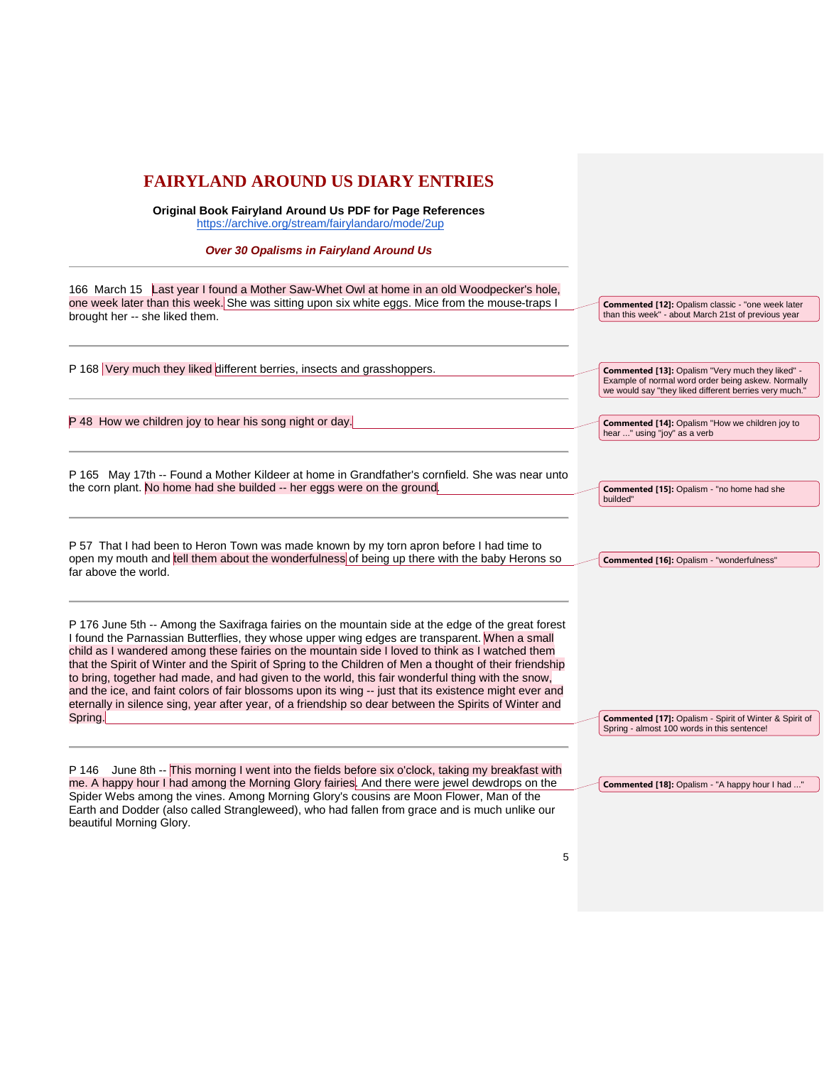## **FAIRYLAND AROUND US DIARY ENTRIES Original Book Fairyland Around Us PDF for Page References** [https://archive.org/stream/fairylandaro/mode/2up](https://archive.org/stream/fairylandaroundu00whit_0#page/n9/mode/2up) *Over 30 Opalisms in Fairyland Around Us* 166 March 15 Last year I found a Mother Saw-Whet Owl at home in an old Woodpecker's hole, one week later than this week. She was sitting upon six white eggs. Mice from the mouse-traps I brought her -- she liked them. P 168 Very much they liked different berries, insects and grasshoppers. P 48 How we children joy to hear his song night or day. P 165 May 17th -- Found a Mother Kildeer at home in Grandfather's cornfield. She was near unto the corn plant. No home had she builded -- her eggs were on the ground. P 57 That I had been to Heron Town was made known by my torn apron before I had time to open my mouth and tell them about the wonderfulness of being up there with the baby Herons so far above the world. P 176 June 5th -- Among the Saxifraga fairies on the mountain side at the edge of the great forest I found the Parnassian Butterflies, they whose upper wing edges are transparent. When a small child as I wandered among these fairies on the mountain side I loved to think as I watched them that the Spirit of Winter and the Spirit of Spring to the Children of Men a thought of their friendship to bring, together had made, and had given to the world, this fair wonderful thing with the snow, and the ice, and faint colors of fair blossoms upon its wing -- just that its existence might ever and eternally in silence sing, year after year, of a friendship so dear between the Spirits of Winter and Spring. P 146 June 8th -- This morning I went into the fields before six o'clock, taking my breakfast with me. A happy hour I had among the Morning Glory fairies. And there were jewel dewdrops on the Spider Webs among the vines. Among Morning Glory's cousins are Moon Flower, Man of the Earth and Dodder (also called Strangleweed), who had fallen from grace and is much unlike our beautiful Morning Glory. **Commented [12]:** Opalism classic - "one week later than this week" - about March 21st of previous year **Commented [13]:** Opalism "Very much they liked" - Example of normal word order being askew. Normally we would say "they liked different berries very much." **Commented [14]:** Opalism "How we children joy to hear ..." using "joy" as a verb **Commented [15]:** Opalism - "no home had she builded" **Commented [16]:** Opalism - "wonderfulness" **Commented [17]:** Opalism - Spirit of Winter & Spirit of Spring - almost 100 words in this sentence! **Commented [18]:** Opalism - "A happy hour I had ..."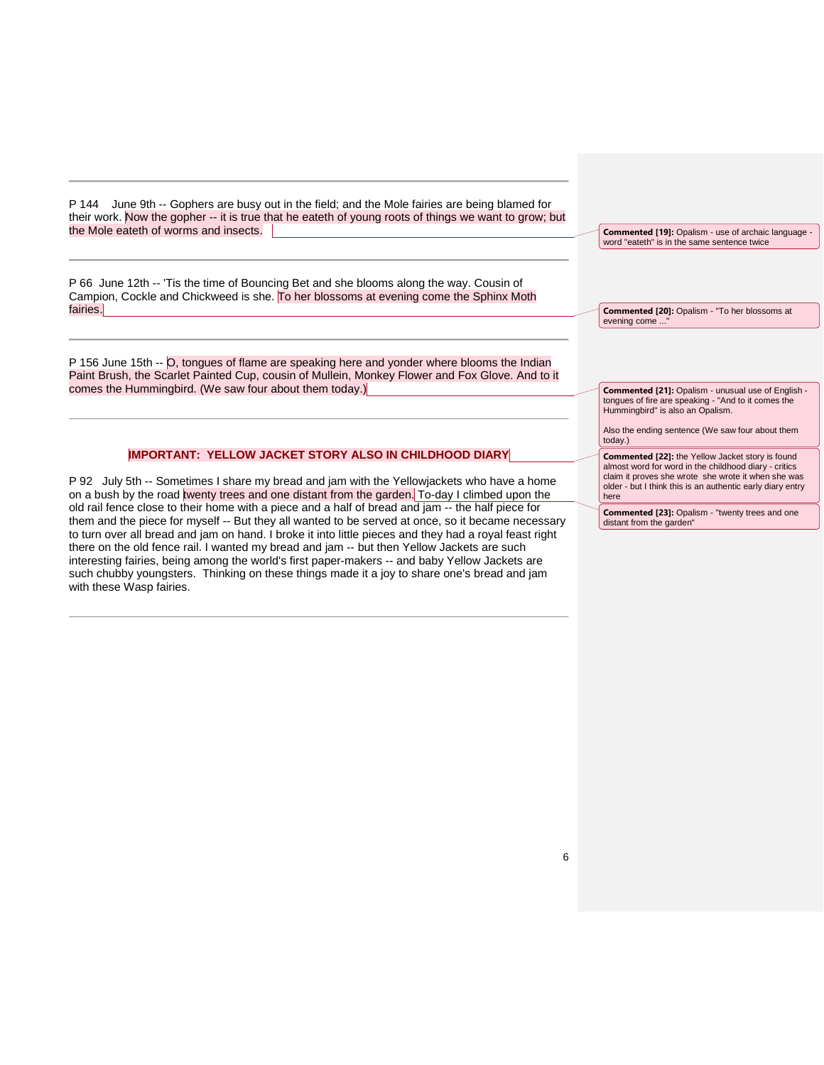P 144 June 9th -- Gophers are busy out in the field; and the Mole fairies are being blamed for their work. Now the gopher -- it is true that he eateth of young roots of things we want to grow; but the Mole eateth of worms and insects.

P 66 June 12th -- 'Tis the time of Bouncing Bet and she blooms along the way. Cousin of Campion, Cockle and Chickweed is she. To her blossoms at evening come the Sphinx Moth fairies.

P 156 June 15th -- O, tongues of flame are speaking here and yonder where blooms the Indian Paint Brush, the Scarlet Painted Cup, cousin of Mullein, Monkey Flower and Fox Glove. And to it comes the Hummingbird. (We saw four about them today.)

#### **IMPORTANT: YELLOW JACKET STORY ALSO IN CHILDHOOD DIARY**

P 92 July 5th -- Sometimes I share my bread and jam with the Yellowjackets who have a home on a bush by the road twenty trees and one distant from the garden. To-day I climbed upon the old rail fence close to their home with a piece and a half of bread and jam -- the half piece for them and the piece for myself -- But they all wanted to be served at once, so it became necessary to turn over all bread and jam on hand. I broke it into little pieces and they had a royal feast right there on the old fence rail. I wanted my bread and jam -- but then Yellow Jackets are such interesting fairies, being among the world's first paper-makers -- and baby Yellow Jackets are such chubby youngsters. Thinking on these things made it a joy to share one's bread and jam with these Wasp fairies.

**Commented [19]:** Opalism - use of archaic language word "eateth" is in the same sentence twice

**Commented [20]:** Opalism - "To her blossoms at evening come

**Commented [21]:** Opalism - unusual use of English tongues of fire are speaking - "And to it comes the Hummingbird" is also an Opalism.

Also the ending sentence (We saw four about them today.)

**Commented [22]:** the Yellow Jacket story is found almost word for word in the childhood diary - critics claim it proves she wrote she wrote it when she was older - but I think this is an authentic early diary entry here

**Commented [23]:** Opalism - "twenty trees and one distant from the garden"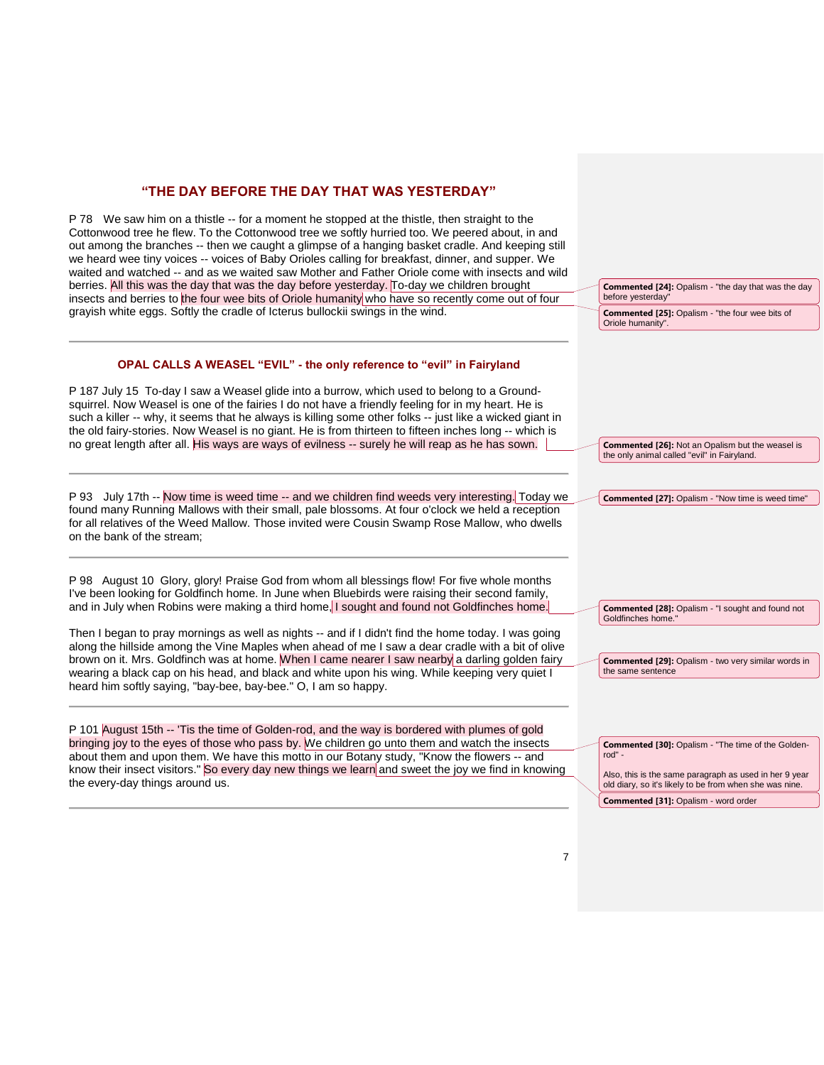### **"THE DAY BEFORE THE DAY THAT WAS YESTERDAY"**

P 78 We saw him on a thistle -- for a moment he stopped at the thistle, then straight to the Cottonwood tree he flew. To the Cottonwood tree we softly hurried too. We peered about, in and out among the branches -- then we caught a glimpse of a hanging basket cradle. And keeping still we heard wee tiny voices -- voices of Baby Orioles calling for breakfast, dinner, and supper. We waited and watched -- and as we waited saw Mother and Father Oriole come with insects and wild berries. All this was the day that was the day before yesterday. To-day we children brought insects and berries to the four wee bits of Oriole humanity who have so recently come out of four grayish white eggs. Softly the cradle of Icterus bullockii swings in the wind.

#### **OPAL CALLS A WEASEL "EVIL" - the only reference to "evil" in Fairyland**

P 187 July 15 To-day I saw a Weasel glide into a burrow, which used to belong to a Groundsquirrel. Now Weasel is one of the fairies I do not have a friendly feeling for in my heart. He is such a killer -- why, it seems that he always is killing some other folks -- just like a wicked giant in the old fairy-stories. Now Weasel is no giant. He is from thirteen to fifteen inches long -- which is no great length after all. His ways are ways of evilness -- surely he will reap as he has sown.

P 93 July 17th -- Now time is weed time -- and we children find weeds very interesting. Today we found many Running Mallows with their small, pale blossoms. At four o'clock we held a reception for all relatives of the Weed Mallow. Those invited were Cousin Swamp Rose Mallow, who dwells on the bank of the stream;

P 98 August 10 Glory, glory! Praise God from whom all blessings flow! For five whole months I've been looking for Goldfinch home. In June when Bluebirds were raising their second family, and in July when Robins were making a third home, I sought and found not Goldfinches home.

Then I began to pray mornings as well as nights -- and if I didn't find the home today. I was going along the hillside among the Vine Maples when ahead of me I saw a dear cradle with a bit of olive brown on it. Mrs. Goldfinch was at home. When I came nearer I saw nearby a darling golden fairy wearing a black cap on his head, and black and white upon his wing. While keeping very quiet I heard him softly saying, "bay-bee, bay-bee." O, I am so happy.

P 101 August 15th -- 'Tis the time of Golden-rod, and the way is bordered with plumes of gold bringing joy to the eyes of those who pass by. We children go unto them and watch the insects about them and upon them. We have this motto in our Botany study, "Know the flowers -- and know their insect visitors." So every day new things we learn and sweet the joy we find in knowing the every-day things around us.

**Commented [25]:** Opalism - "the four wee bits of Oriole humanity". **Commented [26]:** Not an Opalism but the weasel is the only animal called "evil" in Fairyland. **Commented [27]:** Opalism - "Now time is weed time" **Commented [28]:** Opalism - "I sought and found not Goldfinches home. **Commented [29]:** Opalism - two very similar words in the same sentence **Commented [30]:** Opalism - "The time of the Goldenrod" -

**Commented [24]:** Opalism - "the day that was the day

before yesterday"

Also, this is the same paragraph as used in her 9 year old diary, so it's likely to be from when she was nine. **Commented [31]:** Opalism - word order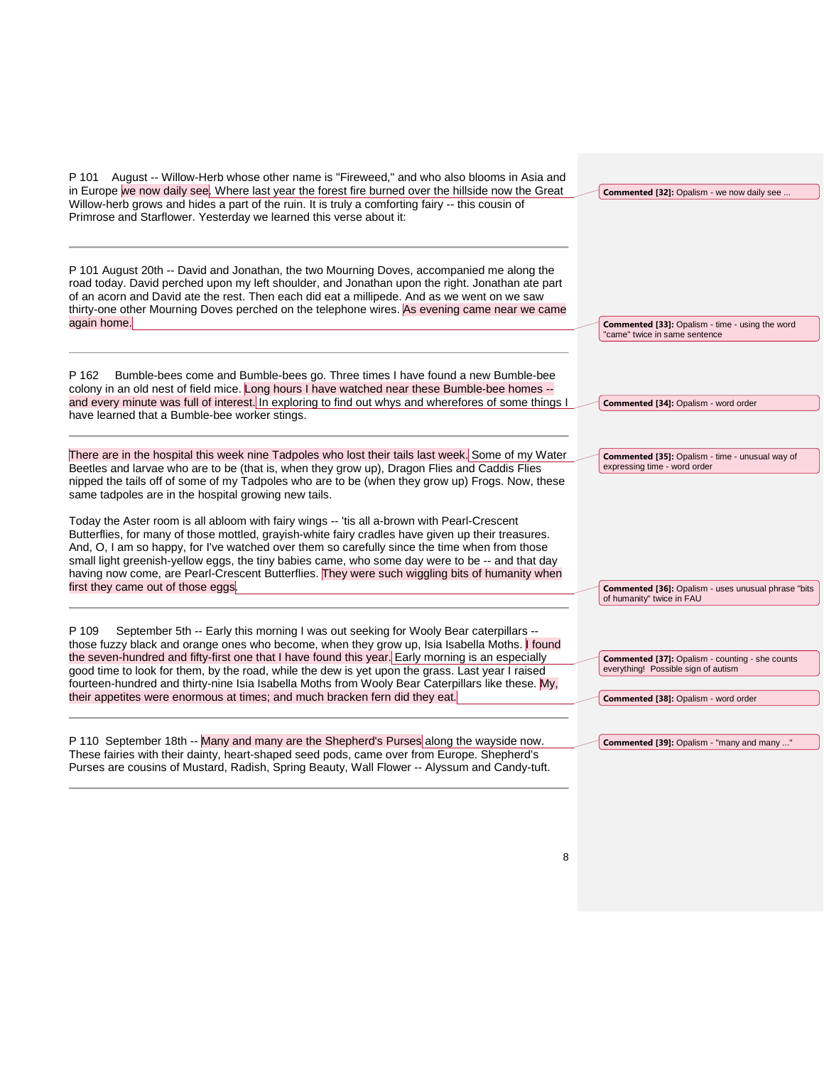